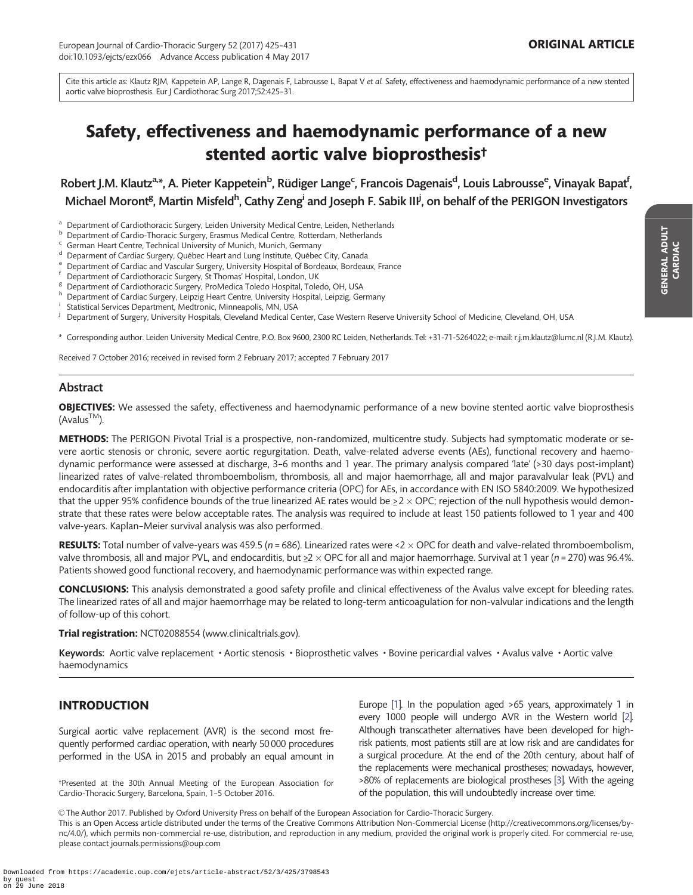Cite this article as: Klautz RJM, Kappetein AP, Lange R, Dagenais F, Labrousse L, Bapat V et al. Safety, effectiveness and haemodynamic performance of a new stented aortic valve bioprosthesis. Eur J Cardiothorac Surg 2017;52:425–31.

# Safety, effectiveness and haemodynamic performance of a new stented aortic valve bioprosthesis†

Robert J.M. Klautz<sup>a,</sup>\*, A. Pieter Kappetein<sup>b</sup>, Rüdiger Lange<sup>c</sup>, Francois Dagenais<sup>d</sup>, Louis Labrousse<sup>e</sup>, Vinayak Bapat<sup>f</sup>, Michael Moront<sup>g</sup>, Martin Misfeld<sup>h</sup>, Cathy Zeng<sup>i</sup> and Joseph F. Sabik III<sup>j</sup>, on behalf of the PERIGON Investigators

 $\begin{array}{c} \begin{array}{c} \begin{array}{c} \mathsf{a}\\ \mathsf{b}\\ \mathsf{b}\\ \mathsf{b}\\ \mathsf{b}\\ \mathsf{c}\\ \mathsf{d}\\ \mathsf{c}\\ \mathsf{d}\\ \mathsf{c}\\ \mathsf{d}\\ \mathsf{c}\\ \mathsf{d}\\ \mathsf{c}\\ \mathsf{d}\\ \mathsf{c}\\ \mathsf{d}\\ \mathsf{c}\\ \mathsf{d}\\ \mathsf{c}\\ \mathsf{d}\\ \mathsf{c}\\ \mathsf{d}\\ \mathsf{d}\\ \mathsf{d}\\ \mathsf{d}\\ \mathsf{d}\\ \mathsf{d}\\ \mathsf{d}\\ \mathsf{d}\\ \mathsf{d}\\ \mathsf{d}\\ \mathsf{d}\\ \$ 

- 
- 
- 
- 
- 
- 
- 
- <sup>j</sup> Department of Surgery, University Hospitals, Cleveland Medical Center, Case Western Reserve University School of Medicine, Cleveland, OH, USA

\* Corresponding author. Leiden University Medical Centre, P.O. Box 9600, 2300 RC Leiden, Netherlands. Tel: +31-71-5264022; e-mail: r.j.m.klautz@lumc.nl (R.J.M. Klautz).

Received 7 October 2016; received in revised form 2 February 2017; accepted 7 February 2017

# Abstract

OBJECTIVES: We assessed the safety, effectiveness and haemodynamic performance of a new bovine stented aortic valve bioprosthesis  $(Avalus<sup>TM</sup>)$ .

METHODS: The PERIGON Pivotal Trial is a prospective, non-randomized, multicentre study. Subjects had symptomatic moderate or severe aortic stenosis or chronic, severe aortic regurgitation. Death, valve-related adverse events (AEs), functional recovery and haemodynamic performance were assessed at discharge, 3–6 months and 1 year. The primary analysis compared 'late' (>30 days post-implant) linearized rates of valve-related thromboembolism, thrombosis, all and major haemorrhage, all and major paravalvular leak (PVL) and endocarditis after implantation with objective performance criteria (OPC) for AEs, in accordance with EN ISO 5840:2009. We hypothesized that the upper 95% confidence bounds of the true linearized AE rates would be  $\ge$  2  $\times$  OPC; rejection of the null hypothesis would demonstrate that these rates were below acceptable rates. The analysis was required to include at least 150 patients followed to 1 year and 400 valve-years. Kaplan–Meier survival analysis was also performed.

**RESULTS:** Total number of valve-years was 459.5 (n = 686). Linearized rates were <2  $\times$  OPC for death and valve-related thromboembolism, valve thrombosis, all and major PVL, and endocarditis, but  $\geq\!2\times$  OPC for all and major haemorrhage. Survival at 1 year (n = 270) was 96.4%. Patients showed good functional recovery, and haemodynamic performance was within expected range.

CONCLUSIONS: This analysis demonstrated a good safety profile and clinical effectiveness of the Avalus valve except for bleeding rates. The linearized rates of all and major haemorrhage may be related to long-term anticoagulation for non-valvular indications and the length of follow-up of this cohort.

Trial registration: NCT02088554 ([www.clinicaltrials.gov](http://www.clinicaltrials.gov)).

Keywords: Aortic valve replacement · Aortic stenosis · Bioprosthetic valves · Bovine pericardial valves · Avalus valve · Aortic valve haemodynamics

# INTRODUCTION

Surgical aortic valve replacement (AVR) is the second most frequently performed cardiac operation, with nearly 50 000 procedures performed in the USA in 2015 and probably an equal amount in

†Presented at the 30th Annual Meeting of the European Association for Cardio-Thoracic Surgery, Barcelona, Spain, 1–5 October 2016.

Europe [\[1\]](#page-6-0). In the population aged >65 years, approximately 1 in every 1000 people will undergo AVR in the Western world [\[2\]](#page-6-0). Although transcatheter alternatives have been developed for highrisk patients, most patients still are at low risk and are candidates for a surgical procedure. At the end of the 20th century, about half of the replacements were mechanical prostheses; nowadays, however, >80% of replacements are biological prostheses [\[3](#page-6-0)]. With the ageing of the population, this will undoubtedly increase over time.

V<sup>C</sup> The Author 2017. Published by Oxford University Press on behalf of the European Association for Cardio-Thoracic Surgery. This is an Open Access article distributed under the terms of the Creative Commons Attribution Non-Commercial License (http://creativecommons.org/licenses/bync/4.0/), which permits non-commercial re-use, distribution, and reproduction in any medium, provided the original work is properly cited. For commercial re-use, please contact journals.permissions@oup.com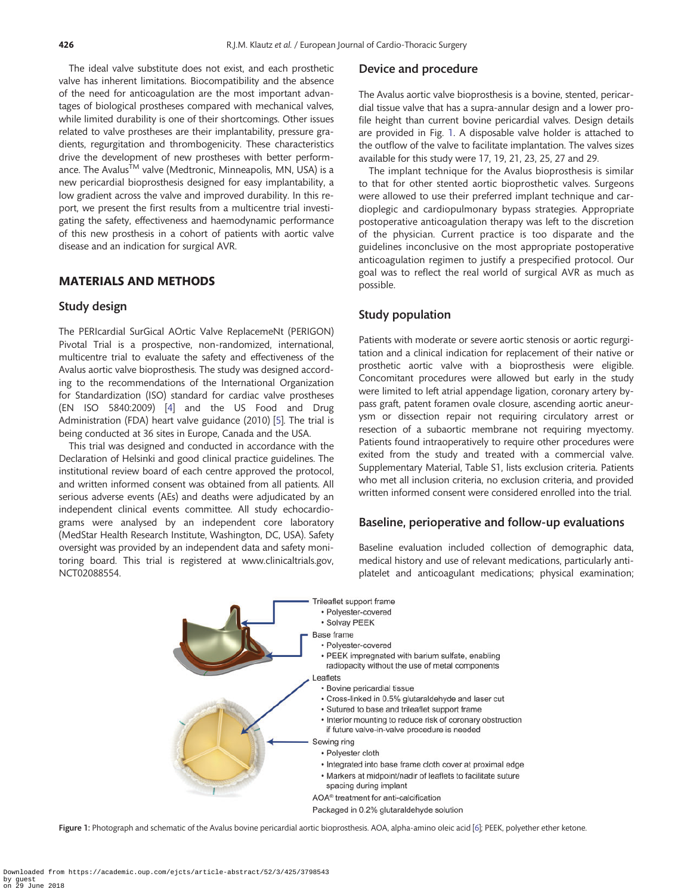## The ideal valve substitute does not exist, and each prosthetic valve has inherent limitations. Biocompatibility and the absence of the need for anticoagulation are the most important advantages of biological prostheses compared with mechanical valves, while limited durability is one of their shortcomings. Other issues related to valve prostheses are their implantability, pressure gradients, regurgitation and thrombogenicity. These characteristics drive the development of new prostheses with better performance. The Avalus<sup>TM</sup> valve (Medtronic, Minneapolis, MN, USA) is a new pericardial bioprosthesis designed for easy implantability, a low gradient across the valve and improved durability. In this report, we present the first results from a multicentre trial investigating the safety, effectiveness and haemodynamic performance of this new prosthesis in a cohort of patients with aortic valve disease and an indication for surgical AVR.

## MATERIALS AND METHODS

#### Study design

The PERIcardial SurGical AOrtic Valve ReplacemeNt (PERIGON) Pivotal Trial is a prospective, non-randomized, international, multicentre trial to evaluate the safety and effectiveness of the Avalus aortic valve bioprosthesis. The study was designed according to the recommendations of the International Organization for Standardization (ISO) standard for cardiac valve prostheses (EN ISO 5840:2009) [[4\]](#page-6-0) and the US Food and Drug Administration (FDA) heart valve guidance (2010) [[5\]](#page-6-0). The trial is being conducted at 36 sites in Europe, Canada and the USA.

This trial was designed and conducted in accordance with the Declaration of Helsinki and good clinical practice guidelines. The institutional review board of each centre approved the protocol, and written informed consent was obtained from all patients. All serious adverse events (AEs) and deaths were adjudicated by an independent clinical events committee. All study echocardiograms were analysed by an independent core laboratory (MedStar Health Research Institute, Washington, DC, USA). Safety oversight was provided by an independent data and safety monitoring board. This trial is registered at [www.clinicaltrials.gov](http://www.clinicaltrials.gov), NCT02088554.

#### Device and procedure

The Avalus aortic valve bioprosthesis is a bovine, stented, pericardial tissue valve that has a supra-annular design and a lower profile height than current bovine pericardial valves. Design details are provided in Fig. 1. A disposable valve holder is attached to the outflow of the valve to facilitate implantation. The valves sizes available for this study were 17, 19, 21, 23, 25, 27 and 29.

The implant technique for the Avalus bioprosthesis is similar to that for other stented aortic bioprosthetic valves. Surgeons were allowed to use their preferred implant technique and cardioplegic and cardiopulmonary bypass strategies. Appropriate postoperative anticoagulation therapy was left to the discretion of the physician. Current practice is too disparate and the guidelines inconclusive on the most appropriate postoperative anticoagulation regimen to justify a prespecified protocol. Our goal was to reflect the real world of surgical AVR as much as possible.

# Study population

Patients with moderate or severe aortic stenosis or aortic regurgitation and a clinical indication for replacement of their native or prosthetic aortic valve with a bioprosthesis were eligible. Concomitant procedures were allowed but early in the study were limited to left atrial appendage ligation, coronary artery bypass graft, patent foramen ovale closure, ascending aortic aneurysm or dissection repair not requiring circulatory arrest or resection of a subaortic membrane not requiring myectomy. Patients found intraoperatively to require other procedures were exited from the study and treated with a commercial valve. Supplementary Material, Table S1, lists exclusion criteria. Patients who met all inclusion criteria, no exclusion criteria, and provided written informed consent were considered enrolled into the trial.

#### Baseline, perioperative and follow-up evaluations

Baseline evaluation included collection of demographic data, medical history and use of relevant medications, particularly antiplatelet and anticoagulant medications; physical examination;



Figure 1: Photograph and schematic of the Avalus bovine pericardial aortic bioprosthesis. AOA, alpha-amino oleic acid [[6](#page-6-0)]; PEEK, polyether ether ketone.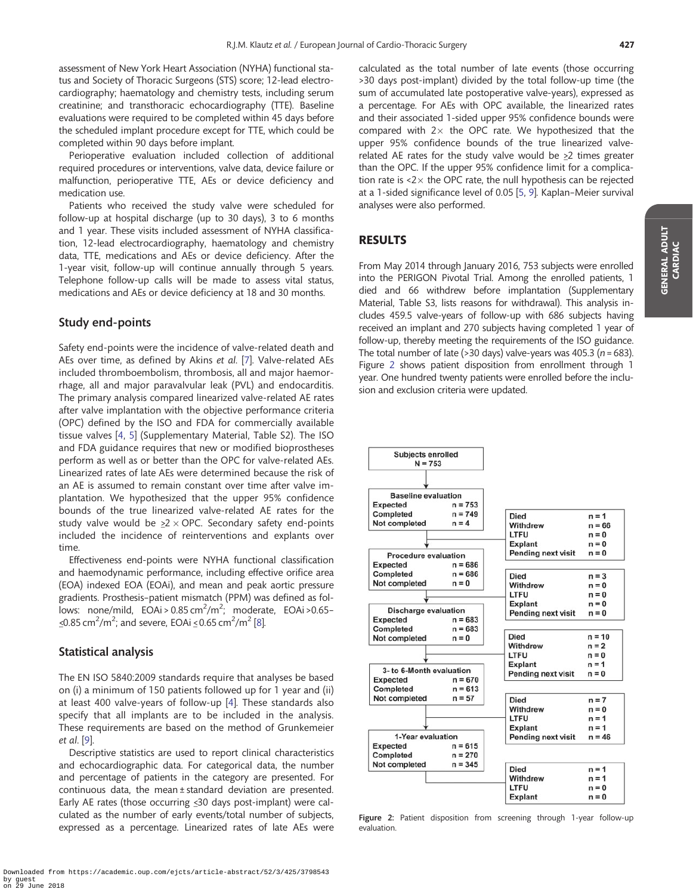assessment of New York Heart Association (NYHA) functional status and Society of Thoracic Surgeons (STS) score; 12-lead electrocardiography; haematology and chemistry tests, including serum creatinine; and transthoracic echocardiography (TTE). Baseline evaluations were required to be completed within 45 days before the scheduled implant procedure except for TTE, which could be completed within 90 days before implant.

Perioperative evaluation included collection of additional required procedures or interventions, valve data, device failure or malfunction, perioperative TTE, AEs or device deficiency and medication use.

Patients who received the study valve were scheduled for follow-up at hospital discharge (up to 30 days), 3 to 6 months and 1 year. These visits included assessment of NYHA classification, 12-lead electrocardiography, haematology and chemistry data, TTE, medications and AEs or device deficiency. After the 1-year visit, follow-up will continue annually through 5 years. Telephone follow-up calls will be made to assess vital status, medications and AEs or device deficiency at 18 and 30 months.

#### Study end-points

Safety end-points were the incidence of valve-related death and AEs over time, as defined by Akins et al. [[7\]](#page-6-0). Valve-related AEs included thromboembolism, thrombosis, all and major haemorrhage, all and major paravalvular leak (PVL) and endocarditis. The primary analysis compared linearized valve-related AE rates after valve implantation with the objective performance criteria (OPC) defined by the ISO and FDA for commercially available tissue valves [\[4](#page-6-0), [5\]](#page-6-0) (Supplementary Material, Table S2). The ISO and FDA guidance requires that new or modified bioprostheses perform as well as or better than the OPC for valve-related AEs. Linearized rates of late AEs were determined because the risk of an AE is assumed to remain constant over time after valve implantation. We hypothesized that the upper 95% confidence bounds of the true linearized valve-related AE rates for the study valve would be  $_{\geq}$ 2  $\times$  OPC. Secondary safety end-points included the incidence of reinterventions and explants over time.

Effectiveness end-points were NYHA functional classification and haemodynamic performance, including effective orifice area (EOA) indexed EOA (EOAi), and mean and peak aortic pressure gradients. Prosthesis–patient mismatch (PPM) was defined as follows: none/mild,  $EOAi > 0.85 \text{ cm}^2/\text{m}^2$ ; moderate,  $EOAi > 0.65 \leq$ 0.[8](#page-6-0)5 cm $^2$ /m $^2$ ; and severe, EOAi  $\leq$  0.65 cm $^2$ /m $^2$  [8].

#### Statistical analysis

The EN ISO 5840:2009 standards require that analyses be based on (i) a minimum of 150 patients followed up for 1 year and (ii) at least 400 valve-years of follow-up [[4\]](#page-6-0). These standards also specify that all implants are to be included in the analysis. These requirements are based on the method of Grunkemeier et al. [[9](#page-6-0)].

Descriptive statistics are used to report clinical characteristics and echocardiographic data. For categorical data, the number and percentage of patients in the category are presented. For continuous data, the mean ± standard deviation are presented. Early AE rates (those occurring  $\leq$ 30 days post-implant) were calculated as the number of early events/total number of subjects, expressed as a percentage. Linearized rates of late AEs were calculated as the total number of late events (those occurring >30 days post-implant) divided by the total follow-up time (the sum of accumulated late postoperative valve-years), expressed as a percentage. For AEs with OPC available, the linearized rates and their associated 1-sided upper 95% confidence bounds were compared with  $2 \times$  the OPC rate. We hypothesized that the upper 95% confidence bounds of the true linearized valverelated AE rates for the study valve would be  $\geq 2$  times greater than the OPC. If the upper 95% confidence limit for a complication rate is  $<$ 2 $\times$  the OPC rate, the null hypothesis can be rejected at a 1-sided significance level of 0.05 [\[5](#page-6-0), [9](#page-6-0)]. Kaplan–Meier survival analyses were also performed.

#### RESULTS

From May 2014 through January 2016, 753 subjects were enrolled into the PERIGON Pivotal Trial. Among the enrolled patients, 1 died and 66 withdrew before implantation (Supplementary Material, Table S3, lists reasons for withdrawal). This analysis includes 459.5 valve-years of follow-up with 686 subjects having received an implant and 270 subjects having completed 1 year of follow-up, thereby meeting the requirements of the ISO guidance. The total number of late (>30 days) valve-years was 405.3 ( $n = 683$ ). Figure 2 shows patient disposition from enrollment through 1 year. One hundred twenty patients were enrolled before the inclusion and exclusion criteria were updated.



Figure 2: Patient disposition from screening through 1-year follow-up evaluation.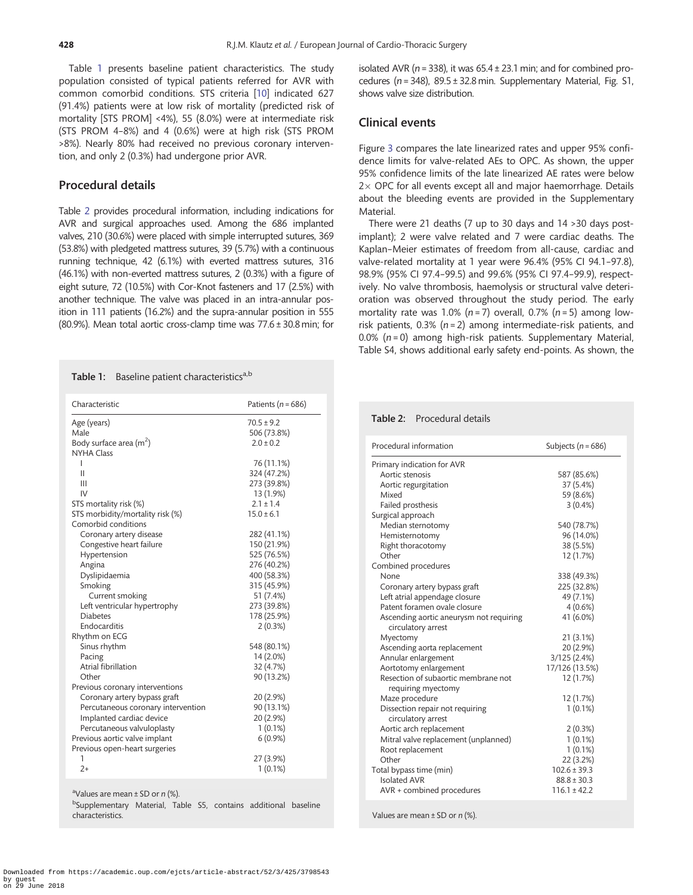Table 1 presents baseline patient characteristics. The study population consisted of typical patients referred for AVR with common comorbid conditions. STS criteria [[10\]](#page-6-0) indicated 627 (91.4%) patients were at low risk of mortality (predicted risk of mortality [STS PROM] <4%), 55 (8.0%) were at intermediate risk (STS PROM 4–8%) and 4 (0.6%) were at high risk (STS PROM >8%). Nearly 80% had received no previous coronary intervention, and only 2 (0.3%) had undergone prior AVR.

## Procedural details

Table 2 provides procedural information, including indications for AVR and surgical approaches used. Among the 686 implanted valves, 210 (30.6%) were placed with simple interrupted sutures, 369 (53.8%) with pledgeted mattress sutures, 39 (5.7%) with a continuous running technique, 42 (6.1%) with everted mattress sutures, 316 (46.1%) with non-everted mattress sutures, 2 (0.3%) with a figure of eight suture, 72 (10.5%) with Cor-Knot fasteners and 17 (2.5%) with another technique. The valve was placed in an intra-annular position in 111 patients (16.2%) and the supra-annular position in 555 (80.9%). Mean total aortic cross-clamp time was 77.6 ± 30.8 min; for

## Table 1: Baseline patient characteristics<sup>a,b</sup>

| Characteristic                                                                                  | Patients ( $n = 686$ )  |
|-------------------------------------------------------------------------------------------------|-------------------------|
| Age (years)                                                                                     | $70.5 \pm 9.2$          |
| Male                                                                                            | 506 (73.8%)             |
| Body surface area (m <sup>2</sup> )                                                             | $2.0 \pm 0.2$           |
| <b>NYHA Class</b>                                                                               |                         |
| I                                                                                               | 76 (11.1%)              |
| Ш                                                                                               | 324 (47.2%)             |
| Ш                                                                                               | 273 (39.8%)             |
| IV                                                                                              | 13 (1.9%)               |
| STS mortality risk (%)                                                                          | $2.1 \pm 1.4$           |
| STS morbidity/mortality risk (%)                                                                | $15.0 \pm 6.1$          |
| Comorbid conditions                                                                             |                         |
| Coronary artery disease                                                                         | 282 (41.1%)             |
| Congestive heart failure                                                                        | 150 (21.9%)             |
| Hypertension                                                                                    | 525 (76.5%)             |
| Angina                                                                                          | 276 (40.2%)             |
| Dyslipidaemia                                                                                   | 400 (58.3%)             |
| Smoking                                                                                         | 315 (45.9%)             |
| Current smoking                                                                                 | 51 (7.4%)               |
| Left ventricular hypertrophy                                                                    | 273 (39.8%)             |
| <b>Diabetes</b>                                                                                 | 178 (25.9%)             |
| Endocarditis                                                                                    | 2(0.3%)                 |
| Rhythm on ECG                                                                                   |                         |
| Sinus rhythm                                                                                    | 548 (80.1%)             |
| Pacing                                                                                          | 14 (2.0%)               |
| Atrial fibrillation                                                                             | 32 (4.7%)               |
| Other                                                                                           | 90 (13.2%)              |
| Previous coronary interventions                                                                 |                         |
| Coronary artery bypass graft                                                                    | 20 (2.9%)               |
| Percutaneous coronary intervention                                                              | 90 (13.1%)              |
| Implanted cardiac device                                                                        | 20 (2.9%)               |
| Percutaneous valvuloplasty                                                                      | $1(0.1\%)$              |
| Previous aortic valve implant                                                                   | $6(0.9\%)$              |
| Previous open-heart surgeries<br>1                                                              |                         |
| $2+$                                                                                            | 27 (3.9%)<br>$1(0.1\%)$ |
|                                                                                                 |                         |
|                                                                                                 |                         |
| <sup>a</sup> Values are mean $\pm$ SD or n (%).                                                 |                         |
| <sup>b</sup> Supplementary Material, Table S5, contains additional baseline<br>characteristics. |                         |

isolated AVR ( $n = 338$ ), it was  $65.4 \pm 23.1$  min; and for combined procedures ( $n = 348$ ),  $89.5 \pm 32.8$  min. Supplementary Material, Fig. S1, shows valve size distribution.

## Clinical events

Figure [3](#page-4-0) compares the late linearized rates and upper 95% confidence limits for valve-related AEs to OPC. As shown, the upper 95% confidence limits of the late linearized AE rates were below  $2\times$  OPC for all events except all and major haemorrhage. Details about the bleeding events are provided in the Supplementary Material.

There were 21 deaths (7 up to 30 days and 14 >30 days postimplant); 2 were valve related and 7 were cardiac deaths. The Kaplan–Meier estimates of freedom from all-cause, cardiac and valve-related mortality at 1 year were 96.4% (95% CI 94.1–97.8), 98.9% (95% CI 97.4–99.5) and 99.6% (95% CI 97.4–99.9), respectively. No valve thrombosis, haemolysis or structural valve deterioration was observed throughout the study period. The early mortality rate was 1.0% ( $n = 7$ ) overall, 0.7% ( $n = 5$ ) among lowrisk patients,  $0.3\%$  ( $n = 2$ ) among intermediate-risk patients, and 0.0% ( $n = 0$ ) among high-risk patients. Supplementary Material, Table S4, shows additional early safety end-points. As shown, the

#### Table 2: Procedural details

| Procedural information                                        | Subjects ( $n = 686$ ) |
|---------------------------------------------------------------|------------------------|
| Primary indication for AVR                                    |                        |
| Aortic stenosis                                               | 587 (85.6%)            |
| Aortic regurgitation                                          | 37 (5.4%)              |
| Mixed                                                         | 59 (8.6%)              |
| Failed prosthesis                                             | 3(0.4% )               |
| Surgical approach                                             |                        |
| Median sternotomy                                             | 540 (78.7%)            |
| Hemisternotomy                                                | 96 (14.0%)             |
| Right thoracotomy                                             | 38 (5.5%)              |
| Other                                                         | 12 (1.7%)              |
| Combined procedures                                           |                        |
| None                                                          | 338 (49.3%)            |
| Coronary artery bypass graft                                  | 225 (32.8%)            |
| Left atrial appendage closure                                 | 49 (7.1%)              |
| Patent foramen ovale closure                                  | $4(0.6\%)$             |
| Ascending aortic aneurysm not requiring<br>circulatory arrest | 41 (6.0%)              |
| Myectomy                                                      | 21 (3.1%)              |
| Ascending aorta replacement                                   | 20 (2.9%)              |
| Annular enlargement                                           | 3/125 (2.4%)           |
| Aortotomy enlargement                                         | 17/126 (13.5%)         |
| Resection of subaortic membrane not<br>requiring myectomy     | 12 (1.7%)              |
| Maze procedure                                                | 12 (1.7%)              |
| Dissection repair not requiring<br>circulatory arrest         | $1(0.1\%)$             |
| Aortic arch replacement                                       | $2(0.3\%)$             |
| Mitral valve replacement (unplanned)                          | $1(0.1\%)$             |
| Root replacement                                              | $1(0.1\%)$             |
| Other                                                         | 22 (3.2%)              |
| Total bypass time (min)                                       | $102.6 \pm 39.3$       |
| <b>Isolated AVR</b>                                           | $88.8 \pm 30.3$        |
| AVR + combined procedures                                     | $116.1 \pm 42.2$       |
|                                                               |                        |

Values are mean  $\pm$  SD or n (%).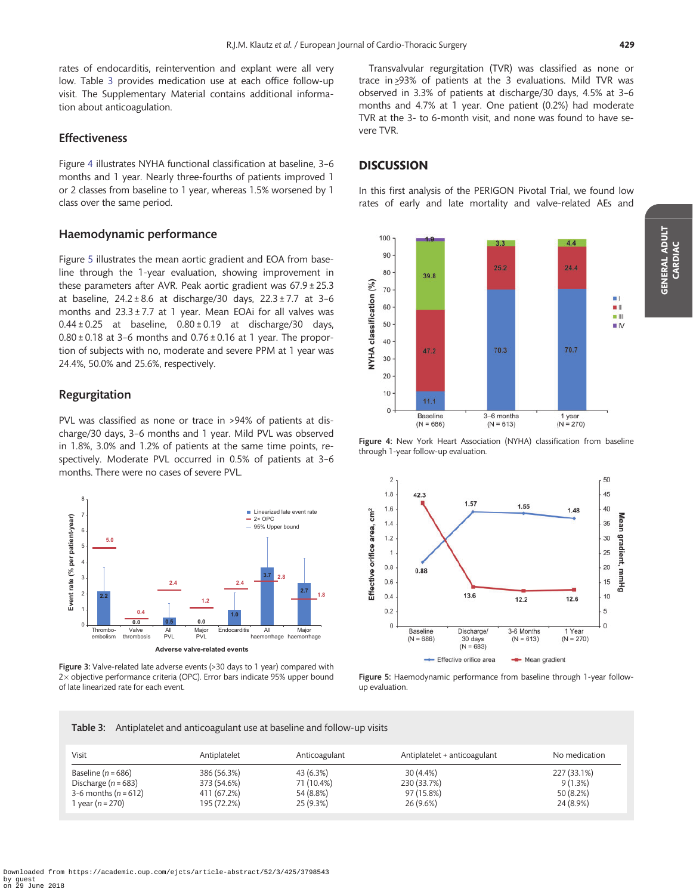<span id="page-4-0"></span>rates of endocarditis, reintervention and explant were all very low. Table 3 provides medication use at each office follow-up visit. The Supplementary Material contains additional information about anticoagulation.

#### **Effectiveness**

Figure 4 illustrates NYHA functional classification at baseline, 3–6 months and 1 year. Nearly three-fourths of patients improved 1 or 2 classes from baseline to 1 year, whereas 1.5% worsened by 1 class over the same period.

#### Haemodynamic performance

Figure 5 illustrates the mean aortic gradient and EOA from baseline through the 1-year evaluation, showing improvement in these parameters after AVR. Peak aortic gradient was 67.9 ± 25.3 at baseline,  $24.2 \pm 8.6$  at discharge/30 days,  $22.3 \pm 7.7$  at 3-6 months and  $23.3 \pm 7.7$  at 1 year. Mean EOAi for all valves was  $0.44 \pm 0.25$  at baseline,  $0.80 \pm 0.19$  at discharge/30 days,  $0.80 \pm 0.18$  at 3-6 months and  $0.76 \pm 0.16$  at 1 year. The proportion of subjects with no, moderate and severe PPM at 1 year was 24.4%, 50.0% and 25.6%, respectively.

## Regurgitation

PVL was classified as none or trace in >94% of patients at discharge/30 days, 3–6 months and 1 year. Mild PVL was observed in 1.8%, 3.0% and 1.2% of patients at the same time points, respectively. Moderate PVL occurred in 0.5% of patients at 3–6 months. There were no cases of severe PVL.



Figure 3: Valve-related late adverse events (>30 days to 1 year) compared with  $2\times$  objective performance criteria (OPC). Error bars indicate 95% upper bound of late linearized rate for each event.

Table 3: Antiplatelet and anticoagulant use at baseline and follow-up visits

Transvalvular regurgitation (TVR) was classified as none or trace in >93% of patients at the 3 evaluations. Mild TVR was observed in 3.3% of patients at discharge/30 days, 4.5% at 3–6 months and 4.7% at 1 year. One patient (0.2%) had moderate TVR at the 3- to 6-month visit, and none was found to have severe TVR.

## **DISCUSSION**

In this first analysis of the PERIGON Pivotal Trial, we found low rates of early and late mortality and valve-related AEs and



Figure 4: New York Heart Association (NYHA) classification from baseline through 1-year follow-up evaluation.



Figure 5: Haemodynamic performance from baseline through 1-year followup evaluation.

|       |              | <b>Table 5.</b> Thiuplatclet and anticoaguiant use at basemic and follow up visits |                              |
|-------|--------------|------------------------------------------------------------------------------------|------------------------------|
| Visit | Antiplatelet | Anticoagulant                                                                      | Antiplatelet + anticoagulant |

| Visit                    | Antiplatelet | Anticoagulant | Antiplatelet + anticoagulant | No medication |
|--------------------------|--------------|---------------|------------------------------|---------------|
| Baseline ( $n = 686$ )   | 386 (56.3%)  | 43 (6.3%)     | 30 (4.4%)                    | 227 (33.1%)   |
| Discharge ( $n = 683$ )  | 373 (54.6%)  | 71 (10.4%)    | 230 (33.7%)                  | 9(1.3%)       |
| 3-6 months ( $n = 612$ ) | 411 (67.2%)  | 54 (8.8%)     | 97 (15.8%)                   | 50 (8.2%)     |
| 1 year ( <i>n</i> = 270) | 195 (72.2%)  | 25 (9.3%)     | 26 (9.6%)                    | 24 (8.9%)     |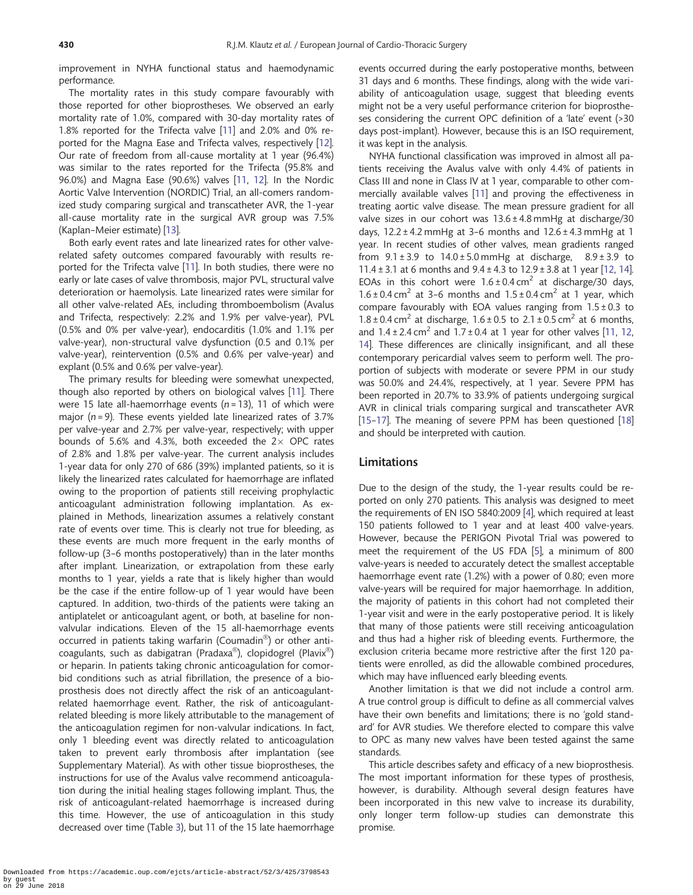improvement in NYHA functional status and haemodynamic performance.

The mortality rates in this study compare favourably with those reported for other bioprostheses. We observed an early mortality rate of 1.0%, compared with 30-day mortality rates of 1.8% reported for the Trifecta valve [[11\]](#page-6-0) and 2.0% and 0% reported for the Magna Ease and Trifecta valves, respectively [\[12](#page-6-0)]. Our rate of freedom from all-cause mortality at 1 year (96.4%) was similar to the rates reported for the Trifecta (95.8% and 96.0%) and Magna Ease (90.6%) valves [[11](#page-6-0), [12](#page-6-0)]. In the Nordic Aortic Valve Intervention (NORDIC) Trial, an all-comers randomized study comparing surgical and transcatheter AVR, the 1-year all-cause mortality rate in the surgical AVR group was 7.5% (Kaplan–Meier estimate) [[13\]](#page-6-0).

Both early event rates and late linearized rates for other valverelated safety outcomes compared favourably with results reported for the Trifecta valve [[11\]](#page-6-0). In both studies, there were no early or late cases of valve thrombosis, major PVL, structural valve deterioration or haemolysis. Late linearized rates were similar for all other valve-related AEs, including thromboembolism (Avalus and Trifecta, respectively: 2.2% and 1.9% per valve-year), PVL (0.5% and 0% per valve-year), endocarditis (1.0% and 1.1% per valve-year), non-structural valve dysfunction (0.5 and 0.1% per valve-year), reintervention (0.5% and 0.6% per valve-year) and explant (0.5% and 0.6% per valve-year).

The primary results for bleeding were somewhat unexpected, though also reported by others on biological valves [\[11](#page-6-0)]. There were 15 late all-haemorrhage events  $(n = 13)$ , 11 of which were major ( $n = 9$ ). These events yielded late linearized rates of 3.7% per valve-year and 2.7% per valve-year, respectively; with upper bounds of 5.6% and 4.3%, both exceeded the  $2\times$  OPC rates of 2.8% and 1.8% per valve-year. The current analysis includes 1-year data for only 270 of 686 (39%) implanted patients, so it is likely the linearized rates calculated for haemorrhage are inflated owing to the proportion of patients still receiving prophylactic anticoagulant administration following implantation. As explained in Methods, linearization assumes a relatively constant rate of events over time. This is clearly not true for bleeding, as these events are much more frequent in the early months of follow-up (3–6 months postoperatively) than in the later months after implant. Linearization, or extrapolation from these early months to 1 year, yields a rate that is likely higher than would be the case if the entire follow-up of 1 year would have been captured. In addition, two-thirds of the patients were taking an antiplatelet or anticoagulant agent, or both, at baseline for nonvalvular indications. Eleven of the 15 all-haemorrhage events occurred in patients taking warfarin (Coumadin $^{\circledR})$  or other anticoagulants, such as dabigatran (Pradaxa $^\circ$ ), clopidogrel (Plavix $^\circ$ ) or heparin. In patients taking chronic anticoagulation for comorbid conditions such as atrial fibrillation, the presence of a bioprosthesis does not directly affect the risk of an anticoagulantrelated haemorrhage event. Rather, the risk of anticoagulantrelated bleeding is more likely attributable to the management of the anticoagulation regimen for non-valvular indications. In fact, only 1 bleeding event was directly related to anticoagulation taken to prevent early thrombosis after implantation (see Supplementary Material). As with other tissue bioprostheses, the instructions for use of the Avalus valve recommend anticoagulation during the initial healing stages following implant. Thus, the risk of anticoagulant-related haemorrhage is increased during this time. However, the use of anticoagulation in this study decreased over time (Table [3\)](#page-4-0), but 11 of the 15 late haemorrhage events occurred during the early postoperative months, between 31 days and 6 months. These findings, along with the wide variability of anticoagulation usage, suggest that bleeding events might not be a very useful performance criterion for bioprostheses considering the current OPC definition of a 'late' event (>30 days post-implant). However, because this is an ISO requirement, it was kept in the analysis.

NYHA functional classification was improved in almost all patients receiving the Avalus valve with only 4.4% of patients in Class III and none in Class IV at 1 year, comparable to other commercially available valves [[11](#page-6-0)] and proving the effectiveness in treating aortic valve disease. The mean pressure gradient for all valve sizes in our cohort was 13.6 ± 4.8 mmHg at discharge/30 days,  $12.2 \pm 4.2$  mmHg at 3-6 months and  $12.6 \pm 4.3$  mmHg at 1 year. In recent studies of other valves, mean gradients ranged from  $9.1 \pm 3.9$  to  $14.0 \pm 5.0$  mmHg at discharge,  $8.9 \pm 3.9$  to 11.4  $\pm$  3.1 at 6 months and  $9.4 \pm 4.3$  to  $12.9 \pm 3.8$  at 1 year [[12,](#page-6-0) [14](#page-6-0)]. EOAs in this cohort were  $1.6 \pm 0.4 \text{ cm}^2$  at discharge/30 days,  $1.6 \pm 0.4$  cm<sup>2</sup> at 3-6 months and  $1.5 \pm 0.4$  cm<sup>2</sup> at 1 year, which compare favourably with EOA values ranging from  $1.5 \pm 0.3$  to  $1.8 \pm 0.4 \text{ cm}^2$  at discharge,  $1.6 \pm 0.5$  to  $2.1 \pm 0.5 \text{ cm}^2$  at 6 months, and  $1.4 \pm 2.4 \text{ cm}^2$  and  $1.7 \pm 0.4$  at 1 year for other valves [[11](#page-6-0), [12](#page-6-0), [14](#page-6-0)]. These differences are clinically insignificant, and all these contemporary pericardial valves seem to perform well. The proportion of subjects with moderate or severe PPM in our study was 50.0% and 24.4%, respectively, at 1 year. Severe PPM has been reported in 20.7% to 33.9% of patients undergoing surgical AVR in clinical trials comparing surgical and transcatheter AVR [\[15](#page-6-0)–[17\]](#page-6-0). The meaning of severe PPM has been questioned [\[18](#page-6-0)] and should be interpreted with caution.

## Limitations

Due to the design of the study, the 1-year results could be reported on only 270 patients. This analysis was designed to meet the requirements of EN ISO 5840:2009 [[4](#page-6-0)], which required at least 150 patients followed to 1 year and at least 400 valve-years. However, because the PERIGON Pivotal Trial was powered to meet the requirement of the US FDA [\[5\]](#page-6-0), a minimum of 800 valve-years is needed to accurately detect the smallest acceptable haemorrhage event rate (1.2%) with a power of 0.80; even more valve-years will be required for major haemorrhage. In addition, the majority of patients in this cohort had not completed their 1-year visit and were in the early postoperative period. It is likely that many of those patients were still receiving anticoagulation and thus had a higher risk of bleeding events. Furthermore, the exclusion criteria became more restrictive after the first 120 patients were enrolled, as did the allowable combined procedures, which may have influenced early bleeding events.

Another limitation is that we did not include a control arm. A true control group is difficult to define as all commercial valves have their own benefits and limitations; there is no 'gold standard' for AVR studies. We therefore elected to compare this valve to OPC as many new valves have been tested against the same standards.

This article describes safety and efficacy of a new bioprosthesis. The most important information for these types of prosthesis, however, is durability. Although several design features have been incorporated in this new valve to increase its durability, only longer term follow-up studies can demonstrate this promise.